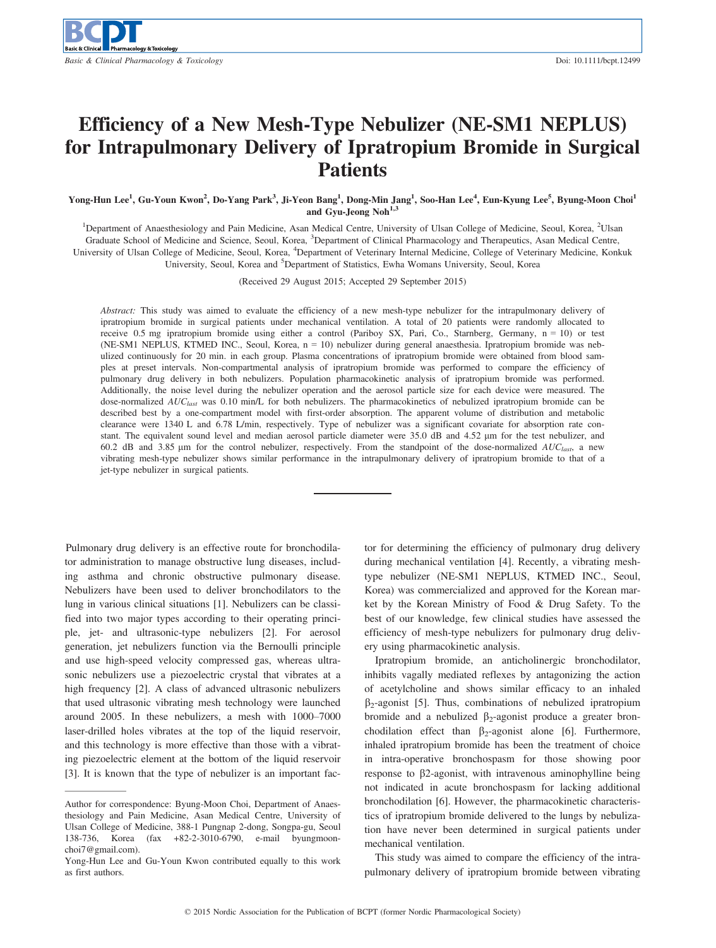# Efficiency of a New Mesh-Type Nebulizer (NE-SM1 NEPLUS) for Intrapulmonary Delivery of Ipratropium Bromide in Surgical Patients

Yong-Hun Lee<sup>1</sup>, Gu-Youn Kwon<sup>2</sup>, Do-Yang Park<sup>3</sup>, Ji-Yeon Bang<sup>1</sup>, Dong-Min Jang<sup>1</sup>, Soo-Han Lee<sup>4</sup>, Eun-Kyung Lee<sup>5</sup>, Byung-Moon Choi<sup>1</sup> and Gyu-Jeong Noh $^{1,3}$ 

<sup>1</sup>Department of Anaesthesiology and Pain Medicine, Asan Medical Centre, University of Ulsan College of Medicine, Seoul, Korea, <sup>2</sup>Ulsan Graduate School of Medicine and Science, Seoul, Korea, <sup>3</sup>Department of Clinical Pharmacology and Therapeutics, Asan Medical Centre, University of Ulsan College of Medicine, Seoul, Korea, <sup>4</sup>Department of Veterinary Internal Medicine, College of Veterinary Medicine, Konkuk University, Seoul, Korea and <sup>5</sup>Department of Statistics, Ewha Womans University, Seoul, Korea

(Received 29 August 2015; Accepted 29 September 2015)

Abstract: This study was aimed to evaluate the efficiency of a new mesh-type nebulizer for the intrapulmonary delivery of ipratropium bromide in surgical patients under mechanical ventilation. A total of 20 patients were randomly allocated to receive 0.5 mg ipratropium bromide using either a control (Pariboy SX, Pari, Co., Starnberg, Germany, n = 10) or test (NE-SM1 NEPLUS, KTMED INC., Seoul, Korea, n = 10) nebulizer during general anaesthesia. Ipratropium bromide was nebulized continuously for 20 min. in each group. Plasma concentrations of ipratropium bromide were obtained from blood samples at preset intervals. Non-compartmental analysis of ipratropium bromide was performed to compare the efficiency of pulmonary drug delivery in both nebulizers. Population pharmacokinetic analysis of ipratropium bromide was performed. Additionally, the noise level during the nebulizer operation and the aerosol particle size for each device were measured. The dose-normalized  $AUC_{last}$  was 0.10 min/L for both nebulizers. The pharmacokinetics of nebulized ipratropium bromide can be described best by a one-compartment model with first-order absorption. The apparent volume of distribution and metabolic clearance were 1340 L and 6.78 L/min, respectively. Type of nebulizer was a significant covariate for absorption rate constant. The equivalent sound level and median aerosol particle diameter were 35.0 dB and 4.52 µm for the test nebulizer, and 60.2 dB and 3.85  $\mu$ m for the control nebulizer, respectively. From the standpoint of the dose-normalized  $AUC_{las}$ , a new vibrating mesh-type nebulizer shows similar performance in the intrapulmonary delivery of ipratropium bromide to that of a jet-type nebulizer in surgical patients.

Pulmonary drug delivery is an effective route for bronchodilator administration to manage obstructive lung diseases, including asthma and chronic obstructive pulmonary disease. Nebulizers have been used to deliver bronchodilators to the lung in various clinical situations [1]. Nebulizers can be classified into two major types according to their operating principle, jet- and ultrasonic-type nebulizers [2]. For aerosol generation, jet nebulizers function via the Bernoulli principle and use high-speed velocity compressed gas, whereas ultrasonic nebulizers use a piezoelectric crystal that vibrates at a high frequency [2]. A class of advanced ultrasonic nebulizers that used ultrasonic vibrating mesh technology were launched around 2005. In these nebulizers, a mesh with 1000–7000 laser-drilled holes vibrates at the top of the liquid reservoir, and this technology is more effective than those with a vibrating piezoelectric element at the bottom of the liquid reservoir [3]. It is known that the type of nebulizer is an important fac-

tor for determining the efficiency of pulmonary drug delivery during mechanical ventilation [4]. Recently, a vibrating meshtype nebulizer (NE-SM1 NEPLUS, KTMED INC., Seoul, Korea) was commercialized and approved for the Korean market by the Korean Ministry of Food & Drug Safety. To the best of our knowledge, few clinical studies have assessed the efficiency of mesh-type nebulizers for pulmonary drug delivery using pharmacokinetic analysis.

Ipratropium bromide, an anticholinergic bronchodilator, inhibits vagally mediated reflexes by antagonizing the action of acetylcholine and shows similar efficacy to an inhaled  $\beta_2$ -agonist [5]. Thus, combinations of nebulized ipratropium bromide and a nebulized  $\beta_2$ -agonist produce a greater bronchodilation effect than  $\beta_2$ -agonist alone [6]. Furthermore, inhaled ipratropium bromide has been the treatment of choice in intra-operative bronchospasm for those showing poor response to  $\beta$ 2-agonist, with intravenous aminophylline being not indicated in acute bronchospasm for lacking additional bronchodilation [6]. However, the pharmacokinetic characteristics of ipratropium bromide delivered to the lungs by nebulization have never been determined in surgical patients under mechanical ventilation.

This study was aimed to compare the efficiency of the intrapulmonary delivery of ipratropium bromide between vibrating

Author for correspondence: Byung-Moon Choi, Department of Anaesthesiology and Pain Medicine, Asan Medical Centre, University of Ulsan College of Medicine, 388-1 Pungnap 2-dong, Songpa-gu, Seoul 138-736, Korea (fax +82-2-3010-6790, e-mail byungmoonchoi7@gmail.com).

Yong-Hun Lee and Gu-Youn Kwon contributed equally to this work as first authors.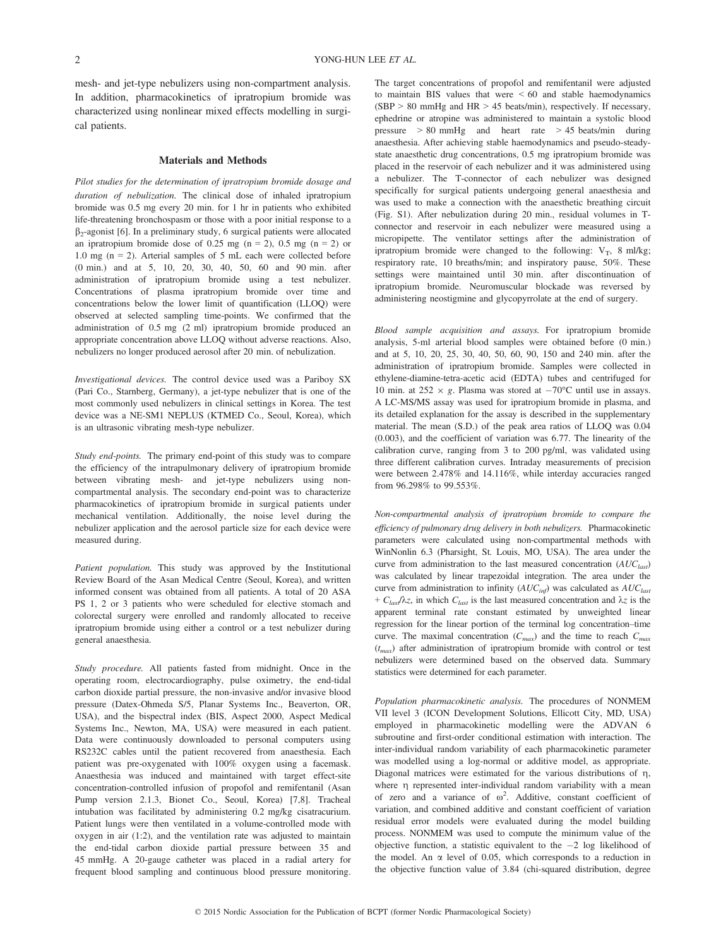mesh- and jet-type nebulizers using non-compartment analysis. In addition, pharmacokinetics of ipratropium bromide was characterized using nonlinear mixed effects modelling in surgical patients.

### Materials and Methods

Pilot studies for the determination of ipratropium bromide dosage and duration of nebulization. The clinical dose of inhaled ipratropium bromide was 0.5 mg every 20 min. for 1 hr in patients who exhibited life-threatening bronchospasm or those with a poor initial response to a  $\beta_2$ -agonist [6]. In a preliminary study, 6 surgical patients were allocated  $\beta_2$ -agonist [6]. In a preliminary study, 6 surgical patients were allocated an ipratropium bromide dose of 0.25 mg (n = 2), 0.5 mg (n = 2) or 1.0 mg ( $n = 2$ ). Arterial samples of 5 mL each were collected before (0 min.) and at 5, 10, 20, 30, 40, 50, 60 and 90 min. after administration of ipratropium bromide using a test nebulizer. Concentrations of plasma ipratropium bromide over time and concentrations below the lower limit of quantification (LLOQ) were observed at selected sampling time-points. We confirmed that the administration of 0.5 mg (2 ml) ipratropium bromide produced an appropriate concentration above LLOQ without adverse reactions. Also, nebulizers no longer produced aerosol after 20 min. of nebulization.

Investigational devices. The control device used was a Pariboy SX (Pari Co., Starnberg, Germany), a jet-type nebulizer that is one of the most commonly used nebulizers in clinical settings in Korea. The test device was a NE-SM1 NEPLUS (KTMED Co., Seoul, Korea), which is an ultrasonic vibrating mesh-type nebulizer.

Study end-points. The primary end-point of this study was to compare the efficiency of the intrapulmonary delivery of ipratropium bromide between vibrating mesh- and jet-type nebulizers using noncompartmental analysis. The secondary end-point was to characterize pharmacokinetics of ipratropium bromide in surgical patients under mechanical ventilation. Additionally, the noise level during the nebulizer application and the aerosol particle size for each device were measured during.

Patient population. This study was approved by the Institutional Review Board of the Asan Medical Centre (Seoul, Korea), and written informed consent was obtained from all patients. A total of 20 ASA PS 1, 2 or 3 patients who were scheduled for elective stomach and colorectal surgery were enrolled and randomly allocated to receive ipratropium bromide using either a control or a test nebulizer during general anaesthesia.

Study procedure. All patients fasted from midnight. Once in the operating room, electrocardiography, pulse oximetry, the end-tidal carbon dioxide partial pressure, the non-invasive and/or invasive blood pressure (Datex-Ohmeda S/5, Planar Systems Inc., Beaverton, OR, USA), and the bispectral index (BIS, Aspect 2000, Aspect Medical Systems Inc., Newton, MA, USA) were measured in each patient. Data were continuously downloaded to personal computers using RS232C cables until the patient recovered from anaesthesia. Each patient was pre-oxygenated with 100% oxygen using a facemask. Anaesthesia was induced and maintained with target effect-site concentration-controlled infusion of propofol and remifentanil (Asan Pump version 2.1.3, Bionet Co., Seoul, Korea) [7,8]. Tracheal intubation was facilitated by administering 0.2 mg/kg cisatracurium. Patient lungs were then ventilated in a volume-controlled mode with oxygen in air (1:2), and the ventilation rate was adjusted to maintain the end-tidal carbon dioxide partial pressure between 35 and 45 mmHg. A 20-gauge catheter was placed in a radial artery for frequent blood sampling and continuous blood pressure monitoring.

The target concentrations of propofol and remifentanil were adjusted to maintain BIS values that were < 60 and stable haemodynamics (SBP > 80 mmHg and HR > 45 beats/min), respectively. If necessary, ephedrine or atropine was administered to maintain a systolic blood pressure  $> 80$  mmHg and heart rate  $> 45$  beats/min during anaesthesia. After achieving stable haemodynamics and pseudo-steadystate anaesthetic drug concentrations, 0.5 mg ipratropium bromide was placed in the reservoir of each nebulizer and it was administered using a nebulizer. The T-connector of each nebulizer was designed specifically for surgical patients undergoing general anaesthesia and was used to make a connection with the anaesthetic breathing circuit (Fig. S1). After nebulization during 20 min., residual volumes in Tconnector and reservoir in each nebulizer were measured using a micropipette. The ventilator settings after the administration of ipratropium bromide were changed to the following:  $V_T$ , 8 ml/kg; respiratory rate, 10 breaths/min; and inspiratory pause, 50%. These settings were maintained until 30 min. after discontinuation of ipratropium bromide. Neuromuscular blockade was reversed by administering neostigmine and glycopyrrolate at the end of surgery.

Blood sample acquisition and assays. For ipratropium bromide analysis, 5-ml arterial blood samples were obtained before (0 min.) and at 5, 10, 20, 25, 30, 40, 50, 60, 90, 150 and 240 min. after the administration of ipratropium bromide. Samples were collected in ethylene-diamine-tetra-acetic acid (EDTA) tubes and centrifuged for 10 min. at  $252 \times g$ . Plasma was stored at  $-70^{\circ}$ C until use in assays. A LC-MS/MS assay was used for ipratropium bromide in plasma, and its detailed explanation for the assay is described in the supplementary material. The mean (S.D.) of the peak area ratios of LLOQ was 0.04 (0.003), and the coefficient of variation was 6.77. The linearity of the calibration curve, ranging from 3 to 200 pg/ml, was validated using three different calibration curves. Intraday measurements of precision were between 2.478% and 14.116%, while interday accuracies ranged from 96.298% to 99.553%.

Non-compartmental analysis of ipratropium bromide to compare the efficiency of pulmonary drug delivery in both nebulizers. Pharmacokinetic parameters were calculated using non-compartmental methods with WinNonlin 6.3 (Pharsight, St. Louis, MO, USA). The area under the curve from administration to the last measured concentration  $(AUC<sub>last</sub>)$ was calculated by linear trapezoidal integration. The area under the curve from administration to infinity  $(AUC_{inf})$  was calculated as  $AUC_{last}$ +  $C_{last}/\lambda z$ , in which  $C_{last}$  is the last measured concentration and  $\lambda z$  is the apparent terminal rate constant estimated by unweighted linear regression for the linear portion of the terminal log concentration–time curve. The maximal concentration  $(C_{max})$  and the time to reach  $C_{max}$  $(t_{max})$  after administration of ipratropium bromide with control or test nebulizers were determined based on the observed data. Summary statistics were determined for each parameter.

Population pharmacokinetic analysis. The procedures of NONMEM VII level 3 (ICON Development Solutions, Ellicott City, MD, USA) employed in pharmacokinetic modelling were the ADVAN 6 subroutine and first-order conditional estimation with interaction. The inter-individual random variability of each pharmacokinetic parameter was modelled using a log-normal or additive model, as appropriate. Diagonal matrices were estimated for the various distributions of  $\eta$ , where  $\eta$  represented inter-individual random variability with a mean of zero and a variance of  $\omega^2$ . Additive, constant coefficient of variation variation, and combined additive and constant coefficient of variation residual error models were evaluated during the model building process. NONMEM was used to compute the minimum value of the objective function, a statistic equivalent to the  $-2$  log likelihood of the model. An  $\alpha$  level of 0.05, which corresponds to a reduction in the objective function value of 3.84 (chi-squared distribution, degree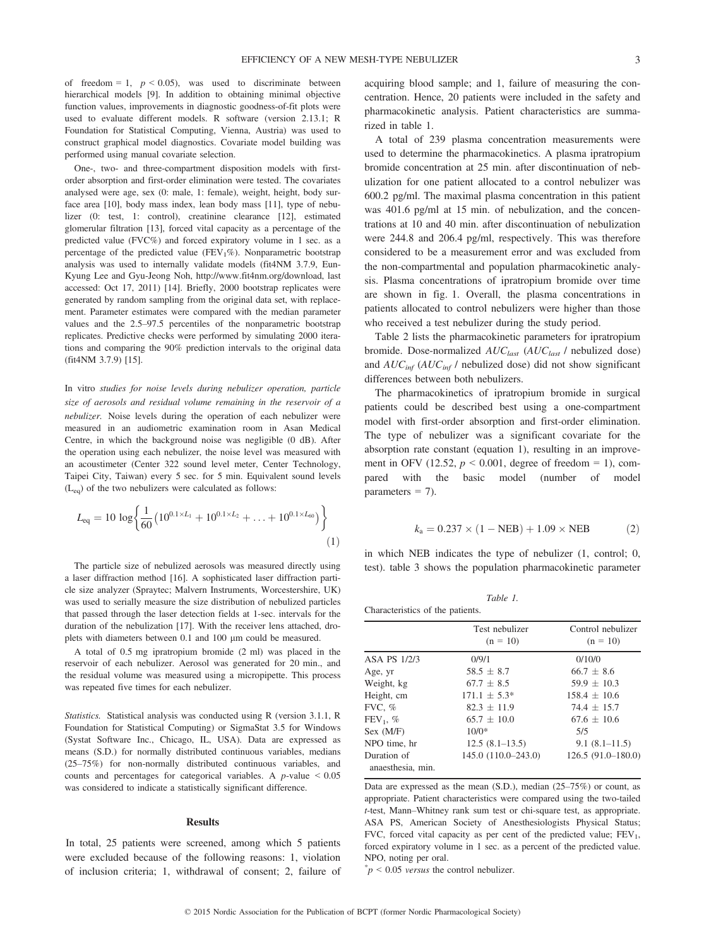of freedom = 1,  $p < 0.05$ ), was used to discriminate between hierarchical models [9]. In addition to obtaining minimal objective function values, improvements in diagnostic goodness-of-fit plots were used to evaluate different models. R software (version 2.13.1; R Foundation for Statistical Computing, Vienna, Austria) was used to construct graphical model diagnostics. Covariate model building was performed using manual covariate selection.

One-, two- and three-compartment disposition models with firstorder absorption and first-order elimination were tested. The covariates analysed were age, sex (0: male, 1: female), weight, height, body surface area [10], body mass index, lean body mass [11], type of nebulizer (0: test, 1: control), creatinine clearance [12], estimated glomerular filtration [13], forced vital capacity as a percentage of the predicted value (FVC%) and forced expiratory volume in 1 sec. as a percentage of the predicted value ( $FEV<sub>1</sub>%$ ). Nonparametric bootstrap analysis was used to internally validate models (fit4NM 3.7.9, Eun-Kyung Lee and Gyu-Jeong Noh, [http://www.fit4nm.org/download,](http://www.fit4nm.org/download) last accessed: Oct 17, 2011) [14]. Briefly, 2000 bootstrap replicates were generated by random sampling from the original data set, with replacement. Parameter estimates were compared with the median parameter values and the 2.5–97.5 percentiles of the nonparametric bootstrap replicates. Predictive checks were performed by simulating 2000 iterations and comparing the 90% prediction intervals to the original data (fit4NM 3.7.9) [15].

In vitro studies for noise levels during nebulizer operation, particle size of aerosols and residual volume remaining in the reservoir of a nebulizer. Noise levels during the operation of each nebulizer were measured in an audiometric examination room in Asan Medical Centre, in which the background noise was negligible (0 dB). After the operation using each nebulizer, the noise level was measured with an acoustimeter (Center 322 sound level meter, Center Technology, Taipei City, Taiwan) every 5 sec. for 5 min. Equivalent sound levels (Leq) of the two nebulizers were calculated as follows:

$$
L_{\text{eq}} = 10 \log \left\{ \frac{1}{60} \left( 10^{0.1 \times L_1} + 10^{0.1 \times L_2} + \ldots + 10^{0.1 \times L_{60}} \right) \right\} \tag{1}
$$

The particle size of nebulized aerosols was measured directly using a laser diffraction method [16]. A sophisticated laser diffraction particle size analyzer (Spraytec; Malvern Instruments, Worcestershire, UK) was used to serially measure the size distribution of nebulized particles that passed through the laser detection fields at 1-sec. intervals for the duration of the nebulization [17]. With the receiver lens attached, droplets with diameters between 0.1 and 100 µm could be measured.

A total of 0.5 mg ipratropium bromide (2 ml) was placed in the reservoir of each nebulizer. Aerosol was generated for 20 min., and the residual volume was measured using a micropipette. This process was repeated five times for each nebulizer.

Statistics. Statistical analysis was conducted using R (version 3.1.1, R Foundation for Statistical Computing) or SigmaStat 3.5 for Windows (Systat Software Inc., Chicago, IL, USA). Data are expressed as means (S.D.) for normally distributed continuous variables, medians (25–75%) for non-normally distributed continuous variables, and counts and percentages for categorical variables. A  $p$ -value  $< 0.05$ was considered to indicate a statistically significant difference.

#### **Results**

In total, 25 patients were screened, among which 5 patients were excluded because of the following reasons: 1, violation of inclusion criteria; 1, withdrawal of consent; 2, failure of

acquiring blood sample; and 1, failure of measuring the concentration. Hence, 20 patients were included in the safety and pharmacokinetic analysis. Patient characteristics are summarized in table 1.

A total of 239 plasma concentration measurements were used to determine the pharmacokinetics. A plasma ipratropium bromide concentration at 25 min. after discontinuation of nebulization for one patient allocated to a control nebulizer was 600.2 pg/ml. The maximal plasma concentration in this patient was 401.6 pg/ml at 15 min. of nebulization, and the concentrations at 10 and 40 min. after discontinuation of nebulization were 244.8 and 206.4 pg/ml, respectively. This was therefore considered to be a measurement error and was excluded from the non-compartmental and population pharmacokinetic analysis. Plasma concentrations of ipratropium bromide over time are shown in fig. 1. Overall, the plasma concentrations in patients allocated to control nebulizers were higher than those who received a test nebulizer during the study period.

Table 2 lists the pharmacokinetic parameters for ipratropium bromide. Dose-normalized  $AUC_{last}$  (AUC<sub>last</sub> / nebulized dose) and  $AUC_{inf}$  ( $AUC_{inf}$  / nebulized dose) did not show significant differences between both nebulizers.

The pharmacokinetics of ipratropium bromide in surgical patients could be described best using a one-compartment model with first-order absorption and first-order elimination. The type of nebulizer was a significant covariate for the absorption rate constant (equation 1), resulting in an improvement in OFV (12.52,  $p < 0.001$ , degree of freedom = 1), compared with the basic model (number of model parameters  $= 7$ ).

$$
k_{\rm a} = 0.237 \times (1 - \text{NEB}) + 1.09 \times \text{NEB}
$$
 (2)

in which NEB indicates the type of nebulizer (1, control; 0, test). table 3 shows the population pharmacokinetic parameter

Table 1. Characteristics of the patients.

|                                  | Test nebulizer<br>$(n = 10)$ | Control nebulizer<br>$(n = 10)$ |  |  |
|----------------------------------|------------------------------|---------------------------------|--|--|
| <b>ASA PS 1/2/3</b>              | 0/9/1                        | 0/10/0                          |  |  |
| Age, yr                          | $58.5 \pm 8.7$               | $66.7 \pm 8.6$                  |  |  |
| Weight, kg                       | $67.7 \pm 8.5$               | $59.9 \pm 10.3$                 |  |  |
| Height, cm                       | $171.1 \pm 5.3*$             | $158.4 + 10.6$                  |  |  |
| FVC. $%$                         | $82.3 \pm 11.9$              | $74.4 + 15.7$                   |  |  |
| $FEV_1$ , %                      | $65.7 + 10.0$                | $67.6 + 10.6$                   |  |  |
| Sex (M/F)                        | $10/0*$                      | 5/5                             |  |  |
| NPO time, hr                     | $12.5(8.1-13.5)$             | $9.1(8.1 - 11.5)$               |  |  |
| Duration of<br>anaesthesia, min. | 145.0 (110.0–243.0)          | $126.5(91.0-180.0)$             |  |  |

Data are expressed as the mean (S.D.), median (25–75%) or count, as appropriate. Patient characteristics were compared using the two-tailed t-test, Mann–Whitney rank sum test or chi-square test, as appropriate. ASA PS, American Society of Anesthesiologists Physical Status; FVC, forced vital capacity as per cent of the predicted value;  $FEV<sub>1</sub>$ , forced expiratory volume in 1 sec. as a percent of the predicted value. NPO, noting per oral.

 $p < 0.05$  versus the control nebulizer.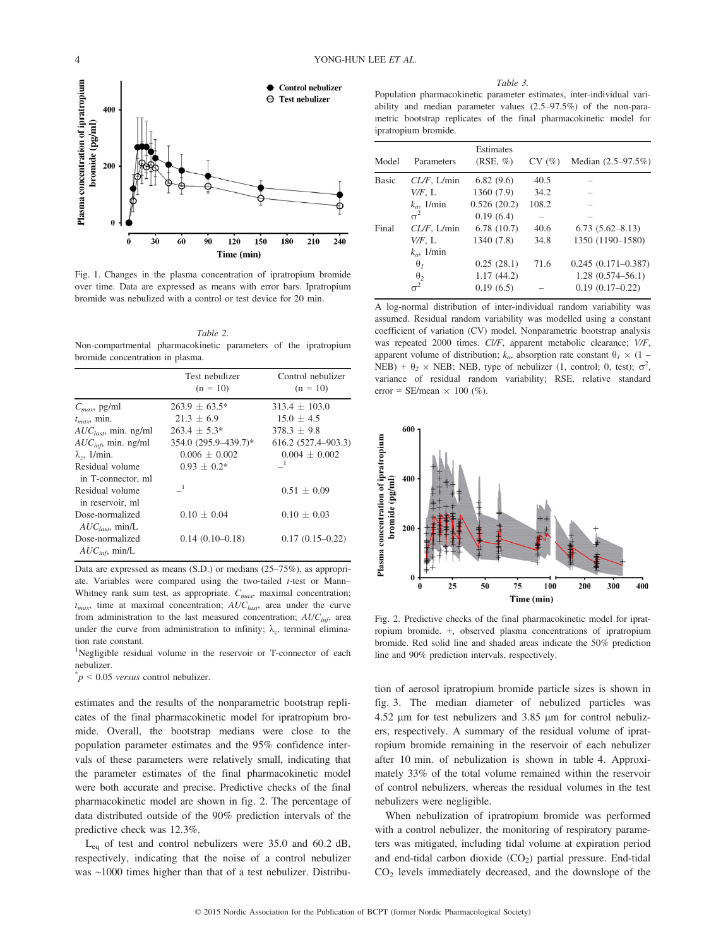

Fig. 1. Changes in the plasma concentration of ipratropium bromide over time. Data are expressed as means with error bars. Ipratropium bromide was nebulized with a control or test device for 20 min.

Table 2. Non-compartmental pharmacokinetic parameters of the ipratropium bromide concentration in plasma.

|                                         | Test nebulizer       | Control nebulizer      |
|-----------------------------------------|----------------------|------------------------|
|                                         | $(n = 10)$           | $(n = 10)$             |
| $C_{max}$ , pg/ml                       | $263.9 \pm 63.5^*$   | $313.4 \pm 103.0$      |
| $t_{max}$ , min.                        | $21.3 \pm 6.9$       | $15.0 + 4.5$           |
| $AUC_{last}$ , min. ng/ml               | $263.4 + 5.3*$       | $378.3 + 9.8$          |
| $AUC_{inf}$ , min. ng/ml                | 354.0 (295.9-439.7)* | $616.2(527.4 - 903.3)$ |
| $\lambda_z$ , 1/min.                    | $0.006 \pm 0.002$    | $0.004 \pm 0.002$      |
| Residual volume<br>in T-connector, ml   | $0.93 + 0.2*$        | $\mathbf{1}$           |
| Residual volume<br>in reservoir, ml     | $\overline{1}$       | $0.51 \pm 0.09$        |
| Dose-normalized<br>$AUC_{last}$ , min/L | $0.10 + 0.04$        | $0.10 \pm 0.03$        |
| Dose-normalized<br>$AUC_{inf}$ , min/L  | $0.14(0.10-0.18)$    | $0.17(0.15 - 0.22)$    |

Data are expressed as means (S.D.) or medians (25–75%), as appropriate. Variables were compared using the two-tailed  $t$ -test or Mann– Whitney rank sum test, as appropriate.  $C_{max}$ , maximal concentration;  $t_{max}$ , time at maximal concentration;  $AUC_{last}$ , area under the curve from administration to the last measured concentration;  $AUC_{inf}$ , area under the curve from administration to infinity;  $\lambda_z$ , terminal elimination rate constant.

<sup>1</sup>Negligible residual volume in the reservoir or T-connector of each nebulizer.

 $p < 0.05$  versus control nebulizer.

estimates and the results of the nonparametric bootstrap replicates of the final pharmacokinetic model for ipratropium bromide. Overall, the bootstrap medians were close to the population parameter estimates and the 95% confidence intervals of these parameters were relatively small, indicating that the parameter estimates of the final pharmacokinetic model were both accurate and precise. Predictive checks of the final pharmacokinetic model are shown in fig. 2. The percentage of data distributed outside of the 90% prediction intervals of the predictive check was 12.3%.

 $L_{eq}$  of test and control nebulizers were 35.0 and 60.2 dB, respectively, indicating that the noise of a control nebulizer was ~1000 times higher than that of a test nebulizer. Distribu-

Table 3.

Population pharmacokinetic parameter estimates, inter-individual variability and median parameter values (2.5–97.5%) of the non-parametric bootstrap replicates of the final pharmacokinetic model for ipratropium bromide.

|              |                             | Estimates   |       |                        |
|--------------|-----------------------------|-------------|-------|------------------------|
| Model        | Parameters                  | $(RSE, \%)$ | CV(%) | Median $(2.5-97.5\%)$  |
| <b>Basic</b> | $CL/F$ , $L/min$            | 6.82(9.6)   | 40.5  |                        |
|              | $V\!F$ , L                  | 1360(7.9)   | 34.2  |                        |
|              | $k_a$ , 1/min               | 0.526(20.2) | 108.2 |                        |
|              | $\sigma^2$                  | 0.19(6.4)   |       |                        |
| Final        | $CL/F$ , $L/min$            | 6.78(10.7)  | 40.6  | $6.73(5.62 - 8.13)$    |
|              | $V\!F$ , L                  | 1340 (7.8)  | 34.8  | 1350 (1190-1580)       |
|              | $k_{\alpha}$ , 1/min        |             |       |                        |
|              | $\theta_I$                  | 0.25(28.1)  | 71.6  | $0.245(0.171 - 0.387)$ |
|              |                             | 1.17(44.2)  |       | $1.28(0.574 - 56.1)$   |
|              | $\frac{\theta_2}{\sigma^2}$ | 0.19(6.5)   |       | $0.19(0.17-0.22)$      |

A log-normal distribution of inter-individual random variability was assumed. Residual random variability was modelled using a constant coefficient of variation (CV) model. Nonparametric bootstrap analysis was repeated 2000 times. Cl/F, apparent metabolic clearance; V/F, apparent volume of distribution;  $k_a$ , absorption rate constant  $\theta_I \times (1 -$ NEB) +  $\theta_2 \times$  NEB; NEB, type of nebulizer (1, control; 0, test);  $\sigma^2$ ;<br>variance of residual random variability: RSE relative standard variance of residual random variability; RSE, relative standard error = SE/mean  $\times$  100 (%).



Fig. 2. Predictive checks of the final pharmacokinetic model for ipratropium bromide. +, observed plasma concentrations of ipratropium bromide. Red solid line and shaded areas indicate the 50% prediction line and 90% prediction intervals, respectively.

tion of aerosol ipratropium bromide particle sizes is shown in fig. 3. The median diameter of nebulized particles was 4.52 µm for test nebulizers and 3.85 µm for control nebulizers, respectively. A summary of the residual volume of ipratropium bromide remaining in the reservoir of each nebulizer after 10 min. of nebulization is shown in table 4. Approximately 33% of the total volume remained within the reservoir of control nebulizers, whereas the residual volumes in the test nebulizers were negligible.

When nebulization of ipratropium bromide was performed with a control nebulizer, the monitoring of respiratory parameters was mitigated, including tidal volume at expiration period and end-tidal carbon dioxide  $(CO<sub>2</sub>)$  partial pressure. End-tidal CO2 levels immediately decreased, and the downslope of the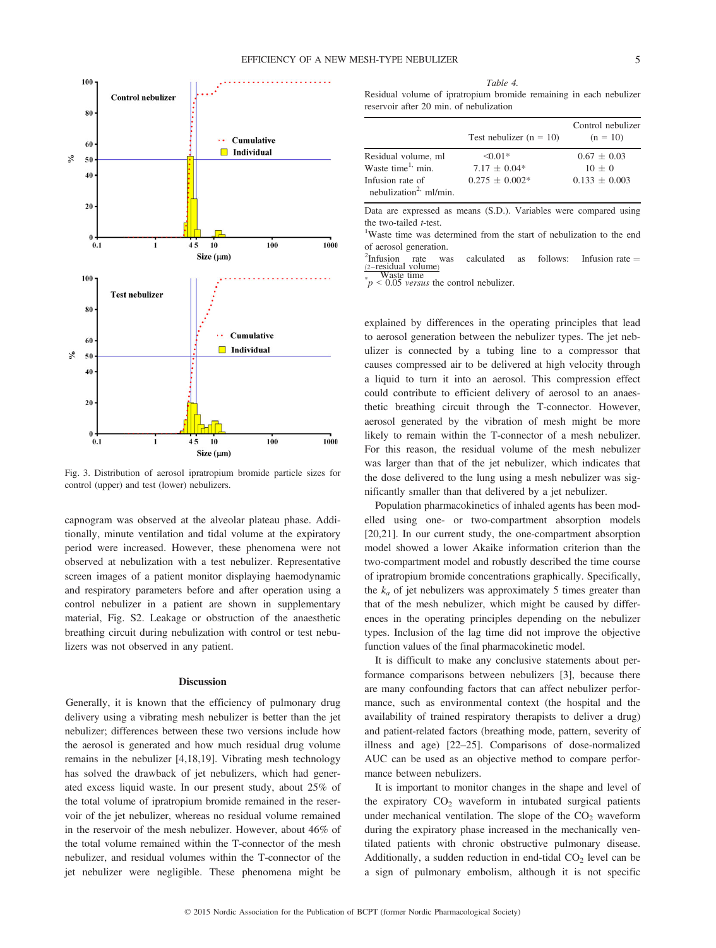

Fig. 3. Distribution of aerosol ipratropium bromide particle sizes for control (upper) and test (lower) nebulizers.

capnogram was observed at the alveolar plateau phase. Additionally, minute ventilation and tidal volume at the expiratory period were increased. However, these phenomena were not observed at nebulization with a test nebulizer. Representative screen images of a patient monitor displaying haemodynamic and respiratory parameters before and after operation using a control nebulizer in a patient are shown in supplementary material, Fig. S2. Leakage or obstruction of the anaesthetic breathing circuit during nebulization with control or test nebulizers was not observed in any patient.

#### Discussion

Generally, it is known that the efficiency of pulmonary drug delivery using a vibrating mesh nebulizer is better than the jet nebulizer; differences between these two versions include how the aerosol is generated and how much residual drug volume remains in the nebulizer [4,18,19]. Vibrating mesh technology has solved the drawback of jet nebulizers, which had generated excess liquid waste. In our present study, about 25% of the total volume of ipratropium bromide remained in the reservoir of the jet nebulizer, whereas no residual volume remained in the reservoir of the mesh nebulizer. However, about 46% of the total volume remained within the T-connector of the mesh nebulizer, and residual volumes within the T-connector of the jet nebulizer were negligible. These phenomena might be

|                                                                                                               | Test nebulizer $(n = 10)$                         | Control nebulizer<br>$(n = 10)$              |
|---------------------------------------------------------------------------------------------------------------|---------------------------------------------------|----------------------------------------------|
| Residual volume, ml<br>Waste time <sup>1</sup> min.<br>Infusion rate of<br>nebulization <sup>2,</sup> ml/min. | $< 0.01*$<br>$7.17 + 0.04*$<br>$0.275 \pm 0.002*$ | $0.67 + 0.03$<br>$10 + 0$<br>$0.133 + 0.003$ |

Data are expressed as means (S.D.). Variables were compared using

the two-tailed *t*-test.<br><sup>1</sup>Waste time was determined from the start of nebulization to the end of aerosol generation.

 $2$ Infusion  ${}^{2}$ Infusion rate was calculated as follows: Infusion rate  $(2$ -residual volume)

\* Waste time<br> $p < 0.05$  versus the control nebulizer.

explained by differences in the operating principles that lead to aerosol generation between the nebulizer types. The jet nebulizer is connected by a tubing line to a compressor that causes compressed air to be delivered at high velocity through a liquid to turn it into an aerosol. This compression effect could contribute to efficient delivery of aerosol to an anaesthetic breathing circuit through the T-connector. However, aerosol generated by the vibration of mesh might be more likely to remain within the T-connector of a mesh nebulizer. For this reason, the residual volume of the mesh nebulizer was larger than that of the jet nebulizer, which indicates that the dose delivered to the lung using a mesh nebulizer was significantly smaller than that delivered by a jet nebulizer.

Population pharmacokinetics of inhaled agents has been modelled using one- or two-compartment absorption models [20,21]. In our current study, the one-compartment absorption model showed a lower Akaike information criterion than the two-compartment model and robustly described the time course of ipratropium bromide concentrations graphically. Specifically, the  $k_a$  of jet nebulizers was approximately 5 times greater than that of the mesh nebulizer, which might be caused by differences in the operating principles depending on the nebulizer types. Inclusion of the lag time did not improve the objective function values of the final pharmacokinetic model.

It is difficult to make any conclusive statements about performance comparisons between nebulizers [3], because there are many confounding factors that can affect nebulizer performance, such as environmental context (the hospital and the availability of trained respiratory therapists to deliver a drug) and patient-related factors (breathing mode, pattern, severity of illness and age) [22–25]. Comparisons of dose-normalized AUC can be used as an objective method to compare performance between nebulizers.

It is important to monitor changes in the shape and level of the expiratory  $CO<sub>2</sub>$  waveform in intubated surgical patients under mechanical ventilation. The slope of the  $CO<sub>2</sub>$  waveform during the expiratory phase increased in the mechanically ventilated patients with chronic obstructive pulmonary disease. Additionally, a sudden reduction in end-tidal  $CO<sub>2</sub>$  level can be a sign of pulmonary embolism, although it is not specific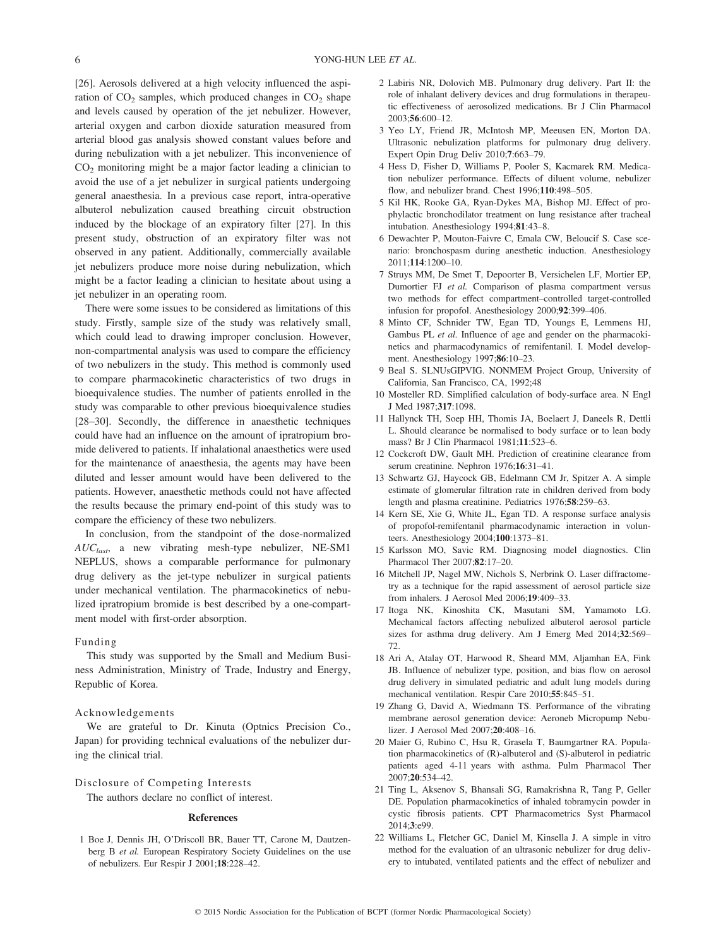[26]. Aerosols delivered at a high velocity influenced the aspiration of  $CO<sub>2</sub>$  samples, which produced changes in  $CO<sub>2</sub>$  shape and levels caused by operation of the jet nebulizer. However, arterial oxygen and carbon dioxide saturation measured from arterial blood gas analysis showed constant values before and during nebulization with a jet nebulizer. This inconvenience of  $CO<sub>2</sub>$  monitoring might be a major factor leading a clinician to avoid the use of a jet nebulizer in surgical patients undergoing general anaesthesia. In a previous case report, intra-operative albuterol nebulization caused breathing circuit obstruction induced by the blockage of an expiratory filter [27]. In this present study, obstruction of an expiratory filter was not observed in any patient. Additionally, commercially available jet nebulizers produce more noise during nebulization, which might be a factor leading a clinician to hesitate about using a jet nebulizer in an operating room.

There were some issues to be considered as limitations of this study. Firstly, sample size of the study was relatively small, which could lead to drawing improper conclusion. However, non-compartmental analysis was used to compare the efficiency of two nebulizers in the study. This method is commonly used to compare pharmacokinetic characteristics of two drugs in bioequivalence studies. The number of patients enrolled in the study was comparable to other previous bioequivalence studies [28–30]. Secondly, the difference in anaesthetic techniques could have had an influence on the amount of ipratropium bromide delivered to patients. If inhalational anaesthetics were used for the maintenance of anaesthesia, the agents may have been diluted and lesser amount would have been delivered to the patients. However, anaesthetic methods could not have affected the results because the primary end-point of this study was to compare the efficiency of these two nebulizers.

In conclusion, from the standpoint of the dose-normalized  $AUC<sub>last</sub>$ , a new vibrating mesh-type nebulizer, NE-SM1 NEPLUS, shows a comparable performance for pulmonary drug delivery as the jet-type nebulizer in surgical patients under mechanical ventilation. The pharmacokinetics of nebulized ipratropium bromide is best described by a one-compartment model with first-order absorption.

#### Funding

This study was supported by the Small and Medium Business Administration, Ministry of Trade, Industry and Energy, Republic of Korea.

# Acknowledgements

We are grateful to Dr. Kinuta (Optnics Precision Co., Japan) for providing technical evaluations of the nebulizer during the clinical trial.

# Disclosure of Competing Interests

The authors declare no conflict of interest.

# References

1 Boe J, Dennis JH, O'Driscoll BR, Bauer TT, Carone M, Dautzenberg B et al. European Respiratory Society Guidelines on the use of nebulizers. Eur Respir J 2001;18:228–42.

- 2 Labiris NR, Dolovich MB. Pulmonary drug delivery. Part II: the role of inhalant delivery devices and drug formulations in therapeutic effectiveness of aerosolized medications. Br J Clin Pharmacol 2003;56:600–12.
- 3 Yeo LY, Friend JR, McIntosh MP, Meeusen EN, Morton DA. Ultrasonic nebulization platforms for pulmonary drug delivery. Expert Opin Drug Deliv 2010;7:663–79.
- 4 Hess D, Fisher D, Williams P, Pooler S, Kacmarek RM. Medication nebulizer performance. Effects of diluent volume, nebulizer flow, and nebulizer brand. Chest 1996;110:498–505.
- 5 Kil HK, Rooke GA, Ryan-Dykes MA, Bishop MJ. Effect of prophylactic bronchodilator treatment on lung resistance after tracheal intubation. Anesthesiology 1994;81:43–8.
- 6 Dewachter P, Mouton-Faivre C, Emala CW, Beloucif S. Case scenario: bronchospasm during anesthetic induction. Anesthesiology 2011;114:1200–10.
- 7 Struys MM, De Smet T, Depoorter B, Versichelen LF, Mortier EP, Dumortier FJ et al. Comparison of plasma compartment versus two methods for effect compartment–controlled target-controlled infusion for propofol. Anesthesiology 2000;92:399–406.
- 8 Minto CF, Schnider TW, Egan TD, Youngs E, Lemmens HJ, Gambus PL et al. Influence of age and gender on the pharmacokinetics and pharmacodynamics of remifentanil. I. Model development. Anesthesiology 1997;86:10–23.
- 9 Beal S. SLNUsGIPVIG. NONMEM Project Group, University of California, San Francisco, CA, 1992;48
- 10 Mosteller RD. Simplified calculation of body-surface area. N Engl J Med 1987;317:1098.
- 11 Hallynck TH, Soep HH, Thomis JA, Boelaert J, Daneels R, Dettli L. Should clearance be normalised to body surface or to lean body mass? Br J Clin Pharmacol 1981;11:523–6.
- 12 Cockcroft DW, Gault MH. Prediction of creatinine clearance from serum creatinine. Nephron 1976;16:31-41.
- 13 Schwartz GJ, Haycock GB, Edelmann CM Jr, Spitzer A. A simple estimate of glomerular filtration rate in children derived from body length and plasma creatinine. Pediatrics 1976;58:259–63.
- 14 Kern SE, Xie G, White JL, Egan TD. A response surface analysis of propofol-remifentanil pharmacodynamic interaction in volunteers. Anesthesiology 2004;100:1373–81.
- 15 Karlsson MO, Savic RM. Diagnosing model diagnostics. Clin Pharmacol Ther 2007;82:17–20.
- 16 Mitchell JP, Nagel MW, Nichols S, Nerbrink O. Laser diffractometry as a technique for the rapid assessment of aerosol particle size from inhalers. J Aerosol Med 2006;19:409–33.
- 17 Itoga NK, Kinoshita CK, Masutani SM, Yamamoto LG. Mechanical factors affecting nebulized albuterol aerosol particle sizes for asthma drug delivery. Am J Emerg Med 2014;32:569– 72.
- 18 Ari A, Atalay OT, Harwood R, Sheard MM, Aljamhan EA, Fink JB. Influence of nebulizer type, position, and bias flow on aerosol drug delivery in simulated pediatric and adult lung models during mechanical ventilation. Respir Care 2010;55:845–51.
- 19 Zhang G, David A, Wiedmann TS. Performance of the vibrating membrane aerosol generation device: Aeroneb Micropump Nebulizer. J Aerosol Med 2007;20:408–16.
- 20 Maier G, Rubino C, Hsu R, Grasela T, Baumgartner RA. Population pharmacokinetics of (R)-albuterol and (S)-albuterol in pediatric patients aged 4-11 years with asthma. Pulm Pharmacol Ther 2007;20:534–42.
- 21 Ting L, Aksenov S, Bhansali SG, Ramakrishna R, Tang P, Geller DE. Population pharmacokinetics of inhaled tobramycin powder in cystic fibrosis patients. CPT Pharmacometrics Syst Pharmacol  $2014:3.699$ .
- 22 Williams L, Fletcher GC, Daniel M, Kinsella J. A simple in vitro method for the evaluation of an ultrasonic nebulizer for drug delivery to intubated, ventilated patients and the effect of nebulizer and